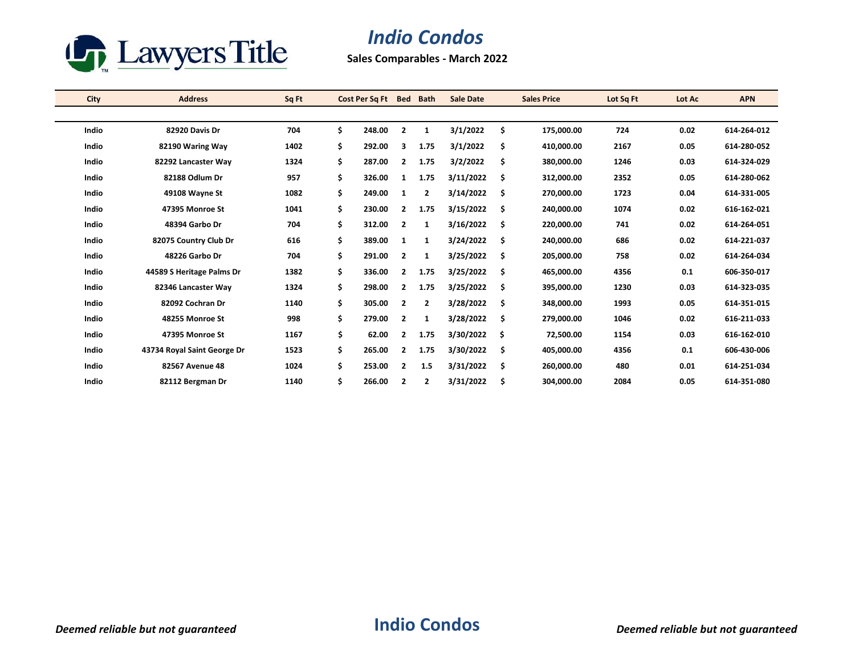

## *Indio Condos*

**Sales Comparables - March 2022**

| City  | <b>Address</b>              | Sq Ft |    | Cost Per Sq Ft | <b>Bed</b>              | <b>Bath</b>    | <b>Sale Date</b> |     | <b>Sales Price</b> | Lot Sq Ft | Lot Ac | <b>APN</b>  |
|-------|-----------------------------|-------|----|----------------|-------------------------|----------------|------------------|-----|--------------------|-----------|--------|-------------|
|       |                             |       |    |                |                         |                |                  |     |                    |           |        |             |
| Indio | 82920 Davis Dr              | 704   | \$ | 248.00         | $\overline{2}$          | 1              | 3/1/2022         | \$  | 175,000.00         | 724       | 0.02   | 614-264-012 |
| Indio | 82190 Waring Way            | 1402  | \$ | 292.00         | 3                       | 1.75           | 3/1/2022         | \$  | 410,000.00         | 2167      | 0.05   | 614-280-052 |
| Indio | 82292 Lancaster Wav         | 1324  | Ś. | 287.00         | $\overline{2}$          | 1.75           | 3/2/2022         | \$  | 380.000.00         | 1246      | 0.03   | 614-324-029 |
| Indio | 82188 Odlum Dr              | 957   | \$ | 326.00         | 1                       | 1.75           | 3/11/2022        | \$  | 312,000.00         | 2352      | 0.05   | 614-280-062 |
| Indio | 49108 Wayne St              | 1082  | Ś. | 249.00         | 1                       | $\overline{2}$ | 3/14/2022        | \$. | 270,000.00         | 1723      | 0.04   | 614-331-005 |
| Indio | 47395 Monroe St             | 1041  | \$ | 230.00         | $\overline{2}$          | 1.75           | 3/15/2022        | \$  | 240,000.00         | 1074      | 0.02   | 616-162-021 |
| Indio | 48394 Garbo Dr              | 704   | \$ | 312.00         | $\overline{2}$          | 1              | 3/16/2022        | \$  | 220,000.00         | 741       | 0.02   | 614-264-051 |
| Indio | 82075 Country Club Dr       | 616   | \$ | 389.00         | 1                       | 1              | 3/24/2022        | \$  | 240,000.00         | 686       | 0.02   | 614-221-037 |
| Indio | 48226 Garbo Dr              | 704   | \$ | 291.00         | $\overline{2}$          | 1              | 3/25/2022        | \$  | 205,000.00         | 758       | 0.02   | 614-264-034 |
| Indio | 44589 S Heritage Palms Dr   | 1382  | \$ | 336.00         | $\overline{2}$          | 1.75           | 3/25/2022        | \$  | 465,000.00         | 4356      | 0.1    | 606-350-017 |
| Indio | 82346 Lancaster Way         | 1324  | \$ | 298.00         | $\overline{2}$          | 1.75           | 3/25/2022        | \$  | 395,000.00         | 1230      | 0.03   | 614-323-035 |
| Indio | 82092 Cochran Dr            | 1140  | \$ | 305.00         | $\overline{2}$          | $\overline{2}$ | 3/28/2022        | \$  | 348,000.00         | 1993      | 0.05   | 614-351-015 |
| Indio | 48255 Monroe St             | 998   | Ś. | 279.00         | $\overline{2}$          | 1              | 3/28/2022        | \$  | 279,000.00         | 1046      | 0.02   | 616-211-033 |
| Indio | 47395 Monroe St             | 1167  | \$ | 62.00          | $\overline{2}$          | 1.75           | 3/30/2022        | \$  | 72,500.00          | 1154      | 0.03   | 616-162-010 |
| Indio | 43734 Royal Saint George Dr | 1523  | Ś. | 265.00         | $\overline{2}$          | 1.75           | 3/30/2022        | \$  | 405,000.00         | 4356      | 0.1    | 606-430-006 |
| Indio | 82567 Avenue 48             | 1024  | \$ | 253.00         | $\overline{2}$          | 1.5            | 3/31/2022        | \$  | 260,000.00         | 480       | 0.01   | 614-251-034 |
| Indio | 82112 Bergman Dr            | 1140  | \$ | 266.00         | $\overline{\mathbf{2}}$ | 2              | 3/31/2022        | \$  | 304,000.00         | 2084      | 0.05   | 614-351-080 |